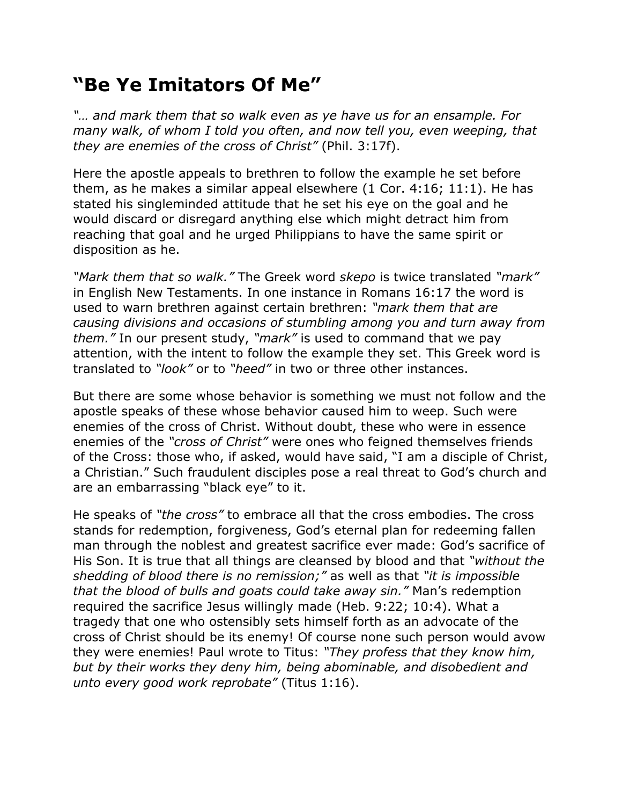## **"Be Ye Imitators Of Me"**

*"… and mark them that so walk even as ye have us for an ensample. For many walk, of whom I told you often, and now tell you, even weeping, that they are enemies of the cross of Christ"* (Phil. 3:17f).

Here the apostle appeals to brethren to follow the example he set before them, as he makes a similar appeal elsewhere (1 Cor. 4:16; 11:1). He has stated his singleminded attitude that he set his eye on the goal and he would discard or disregard anything else which might detract him from reaching that goal and he urged Philippians to have the same spirit or disposition as he.

*"Mark them that so walk."* The Greek word *skepo* is twice translated *"mark"* in English New Testaments. In one instance in Romans 16:17 the word is used to warn brethren against certain brethren: *"mark them that are causing divisions and occasions of stumbling among you and turn away from them."* In our present study, *"mark"* is used to command that we pay attention, with the intent to follow the example they set. This Greek word is translated to *"look"* or to *"heed"* in two or three other instances.

But there are some whose behavior is something we must not follow and the apostle speaks of these whose behavior caused him to weep. Such were enemies of the cross of Christ. Without doubt, these who were in essence enemies of the *"cross of Christ"* were ones who feigned themselves friends of the Cross: those who, if asked, would have said, "I am a disciple of Christ, a Christian." Such fraudulent disciples pose a real threat to God's church and are an embarrassing "black eye" to it.

He speaks of *"the cross"* to embrace all that the cross embodies. The cross stands for redemption, forgiveness, God's eternal plan for redeeming fallen man through the noblest and greatest sacrifice ever made: God's sacrifice of His Son. It is true that all things are cleansed by blood and that *"without the shedding of blood there is no remission;"* as well as that *"it is impossible that the blood of bulls and goats could take away sin."* Man's redemption required the sacrifice Jesus willingly made (Heb. 9:22; 10:4). What a tragedy that one who ostensibly sets himself forth as an advocate of the cross of Christ should be its enemy! Of course none such person would avow they were enemies! Paul wrote to Titus: *"They profess that they know him, but by their works they deny him, being abominable, and disobedient and unto every good work reprobate"* (Titus 1:16).